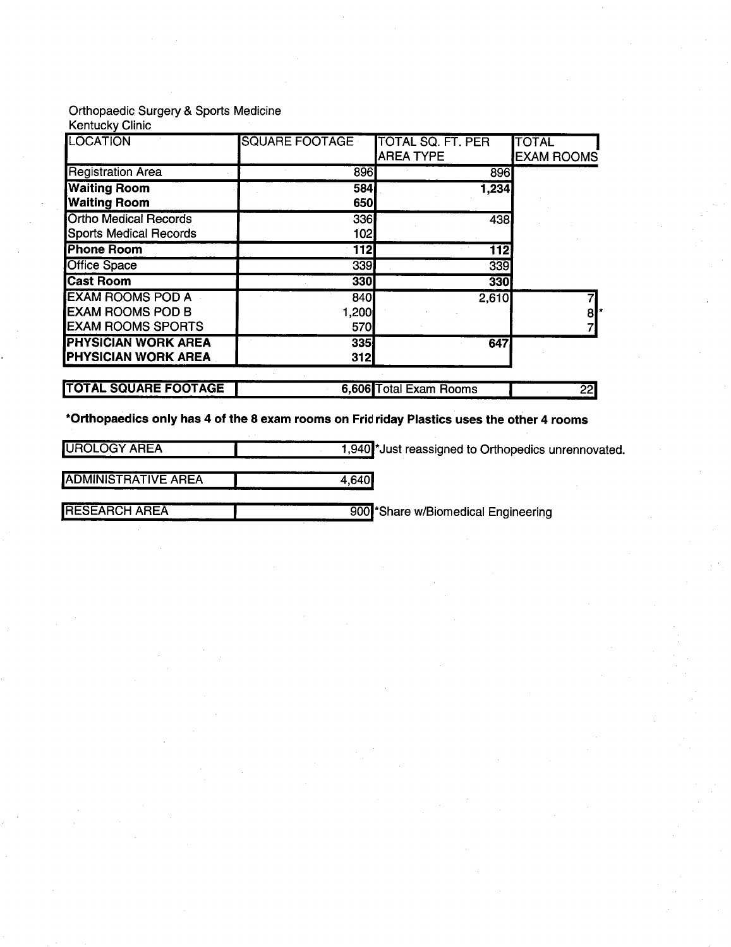## Orthopaedic Surgery & Sports Medicine

Kentucky Clinic

| <b>LOCATION</b>               | <b>SQUARE FOOTAGE</b> | TOTAL SQ. FT. PER      | <b>TOTAL</b>      |
|-------------------------------|-----------------------|------------------------|-------------------|
|                               |                       | <b>AREA TYPE</b>       | <b>EXAM ROOMS</b> |
| <b>Registration Area</b>      | 896                   | 896                    |                   |
| <b>Waiting Room</b>           | 584                   | 1,234                  |                   |
| <b>Waiting Room</b>           | 650                   |                        |                   |
| <b>Ortho Medical Records</b>  | 336                   | 438                    |                   |
| <b>Sports Medical Records</b> | 102                   |                        |                   |
| <b>Phone Room</b>             | 112                   | 112                    |                   |
| <b>Office Space</b>           | 339                   | 339                    |                   |
| <b>Cast Room</b>              | 330                   | 330                    |                   |
| <b>EXAM ROOMS POD A</b>       | 840                   | 2,610                  |                   |
| <b>IEXAM ROOMS POD B</b>      | 1,200                 |                        | $8$  *            |
| <b>EXAM ROOMS SPORTS</b>      | 570                   |                        |                   |
| <b>PHYSICIAN WORK AREA</b>    | 335                   | 647                    |                   |
| <b>PHYSICIAN WORK AREA</b>    | 312                   |                        |                   |
|                               |                       |                        |                   |
| <b>TOTAL SQUARE FOOTAGE</b>   |                       | 6,606 Total Exam Rooms | 22                |

\*Orthopaedics only has 4 of the 8 exam rooms on Fridriday Plastics uses the other 4 rooms

UROLOGY AREA 1,940<sup>1</sup> Just reassigned to Orthopedics unrennovated.

ADMINISTRATIVE AREA 1 4,640

**IRESEARCH AREA IMPORT AREA** 900<sup>1</sup> Share w/Biomedical Engineering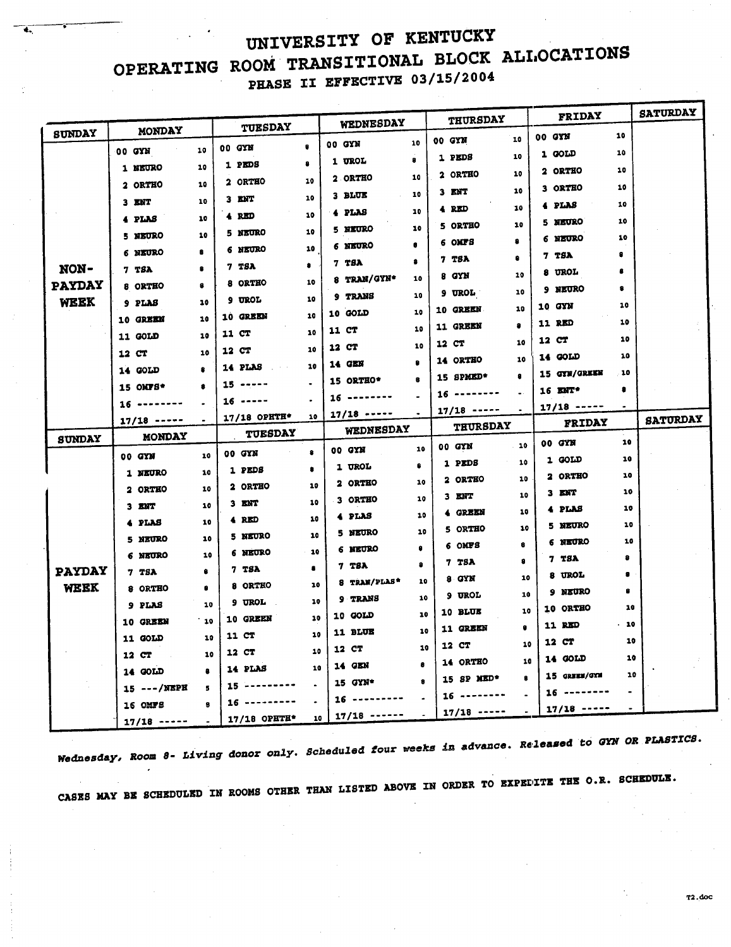## UNIVERSITY OF KENTUCKY OPERATING ROOM TRANSITIONAL BLOCK ALLOCATIONS PHASE II EFFECTIVE 03/15/2004

|               |                |           |                      |    |                                        |           | <b>THURSDAY</b>                     |           | FRIDAY            |                | <b>SATURDAY</b> |
|---------------|----------------|-----------|----------------------|----|----------------------------------------|-----------|-------------------------------------|-----------|-------------------|----------------|-----------------|
| <b>SUNDAY</b> | MONDAY         |           | TUESDAY              |    | WEDNESDAY                              |           |                                     |           | 00 GYN            | 10             |                 |
|               | 00 GYN         | 10        | 00 GYN               |    | 00 GYN                                 | 10        | 00 GYN                              | 10        | 1 GOLD            | 10             |                 |
|               | 1 NEURO        | 10        | 1 PEDS               | 8  | 1 UROL                                 | 8         | 1 PEDS                              | 10        | 2 ORTHO           | 10             |                 |
|               | 2 ORTHO        | 10        | 2 ORTHO              | 10 | <b>2 ORTHO</b>                         | 10        | 2 ORTHO                             | 10        | <b>3 ORTHO</b>    | 10             |                 |
|               | $3$ $ENT$      | 10        | $3$ ENT              | 10 | 3 BLUE                                 | 10        | 3 ENT                               | 10        | 4 PLAS            | 10             |                 |
|               | 4 PLAS         | 10        | 4 RED                | 10 | 4 PLAS                                 | 10        | 4 RED                               | 10        | 5 MEURO           | 10             |                 |
|               | 5 NEURO        | 10        | <b>5 NEURO</b>       | 10 | 5 NEURO                                | 10        | 5 ORTHO                             | 10        | 6 NEURO           | 10             |                 |
|               | 6 NEURO        | 8         | 6 NEURO              | 10 | 6 NEURO                                | $\bullet$ | 6 OMFS                              | 8         | 7 TSA             | 8              |                 |
| NON-          | 7 TSA          | 8         | 7 TSA                | ٠  | 7 TSA                                  | 8         | 7 TSA                               | ٠         | 8 UROL            | 8              |                 |
| <b>PAYDAY</b> | 8 ORTHO        | 8         | 8 ORTHO              | 10 | 8 TRAN/GYN*                            | 10        | 8 GYN                               | 10        | <b>9 NEURO</b>    | 8              |                 |
| WEEK          | 9 PLAS         | 10        | 9 UROL               | 10 | 9 TRANS                                | 10        | 9 UROL .                            | 10        | 10 GYN            | 10             |                 |
|               | 10 GREEN       | 10        | 10 GREEN             | 10 | 10 GOLD                                | 10        | 10 GREEN                            | 10        | <b>11 RED</b>     | 10             |                 |
|               | 11 GOLD        | 10        | 11 CT                | 10 | 11 CT                                  | 10        | 11 GREEN                            | 10        | 12 CT             | 10             |                 |
|               | 12 CT          | 10        | 12 CT                | 10 | 12 CT                                  | 10        | 12 CT                               | 10        | 14 GOLD           | 10             |                 |
|               | 14 GOLD        | 8         | 14 PLAS              | 10 | 14 GEN                                 |           | 14 ORTHO                            | $\bullet$ | 15 GYN/GREEN      | 10             |                 |
|               | 15 OMTS*       | â         | $15 - - - -$         |    | 15 ORTHO*                              |           | 15 SPMED*                           |           | 16 ENT*           | ۰              |                 |
|               | $16$ --------  |           | $16 - - - -$         |    | $16 - - - - - - -$                     |           | $16 - - - - - - -$<br>$17/18$ ----- |           | $17/18$ -----     |                |                 |
|               |                |           |                      |    |                                        |           |                                     |           |                   |                |                 |
|               | $17/18$ -----  |           | 17/18 OPHTH*         | 10 | $17/18$ -----                          |           |                                     |           | <b>FRIDAY</b>     |                | <b>SATURDAY</b> |
| <b>SUNDAY</b> | <b>MONDAY</b>  |           | TUESDAY              |    | WEDNESDAY                              |           | <b>THURSDAY</b>                     |           |                   |                |                 |
|               | 00 GYM         | 10        | 00 GYN               | 8  | 00 GYN                                 | 10        | 00 GYN                              | $-10$     | 00 GYM            | 10<br>10       |                 |
|               | 1 NEURO        | 10        | 1 PEDS               | ۰  | 1 UROL                                 |           | 1 PEDS                              | 10        | 1 GOLD<br>2 ORTHO | 10             |                 |
|               | 2 ORTHO        | 10        | 2 ORTHO              | 10 | 2 ORTHO                                | 10        | 2 ORTHO                             | 10        | $3$ ENT           | 10             |                 |
|               | 3 ENT          | 10        | $3$ ENT              | 10 | 3 ORTHO                                | 10        | 3 ENT                               | 10        | 4 PLAS            | 10             |                 |
|               | 4 PLAS         | 10        | 4 RED                | 10 | 4 PLAS                                 | 10        | 4 GREEN                             | 10        | 5 NEURO           | 10             |                 |
|               | 5 NEURO        | 10        | 5 NEURO              | 10 | 5 NEURO                                | 10        | 5 ORTHO                             | 10<br>в.  | 6 NEURO           | 10             |                 |
|               | 6 NEURO        | 10        | <b>6 NEURO</b>       | 10 | 6 NEURO                                |           | 6 OMFS                              | 8         | 7 TSA             | 8              |                 |
| <b>PAYDAY</b> | 7 TSA          |           | 7 TSA                |    | <b>7 TSA</b>                           | $\bullet$ | 7 TSA<br>8 GYN                      | 10        | <b>8 UROL</b>     |                |                 |
| WEEK          | 8 ORTHO        |           | 8 ORTHO              | 10 | 8 TRAN/PLAS*                           | 10        | 9 UROL                              | 10        | 9 NEURO           |                |                 |
|               | 9 PLAS         | 10        | 9 UROL .             | 10 | 9 TRANS                                | 10        | 10 BLUE                             | 10        | 10 ORTHO          | 10             |                 |
|               | 10 GREEN       | 10        | 10 GREEN             | 10 | 10 GOLD                                | 10        | <b>11 GREEN</b>                     |           | 11 RED            | - 10           |                 |
|               | 11 GOLD        | 10        | 11 CT                | 10 | 11 BLUE                                | 10        | 12 CT                               | 10        | 12 CT             | 10             |                 |
|               | 12 CT          | 10        | 12 CT                | 10 | 12 CT                                  | 10        | 14 ORTHO                            | 10        | 14 GOLD           | 10             |                 |
|               | 14 GOLD        | $\bullet$ | 14 PLAS              | 10 | 14 GEN                                 | $\bullet$ |                                     | 8         | 15 GREEN/GYM      | 10             |                 |
|               | $15$ ---/NEPH  | 5         | $15 - - - - - - -$   |    | 15 GYN*                                |           | 15 SP MED*                          |           | $16$ --------     | $\blacksquare$ |                 |
|               | <b>16 OMFS</b> | e         | $16$<br>17/18 OPETH* | 10 | $16 - - - - - - - -$<br>$17/18$ ------ |           | $16$ --------<br>$17/18$ -----      |           | $17/18$ -----     |                |                 |

Nednesday, Room 8- Living donor only. Scheduled four weeks in advance. Released to GYN OR PLASTICS.

CASES MAY BE SCHEDULED IN ROOMS OTHER THAN LISTED ABOVE IN ORDER TO EXPEDITE THE O.R. SCHEDULE.